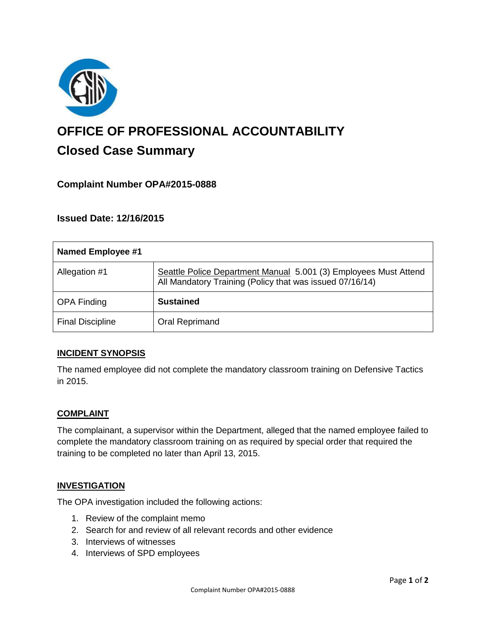

# **OFFICE OF PROFESSIONAL ACCOUNTABILITY Closed Case Summary**

# **Complaint Number OPA#2015-0888**

**Issued Date: 12/16/2015**

| Named Employee #1       |                                                                                                                              |
|-------------------------|------------------------------------------------------------------------------------------------------------------------------|
| Allegation #1           | Seattle Police Department Manual 5.001 (3) Employees Must Attend<br>All Mandatory Training (Policy that was issued 07/16/14) |
| <b>OPA Finding</b>      | <b>Sustained</b>                                                                                                             |
| <b>Final Discipline</b> | Oral Reprimand                                                                                                               |

## **INCIDENT SYNOPSIS**

The named employee did not complete the mandatory classroom training on Defensive Tactics in 2015.

## **COMPLAINT**

The complainant, a supervisor within the Department, alleged that the named employee failed to complete the mandatory classroom training on as required by special order that required the training to be completed no later than April 13, 2015.

#### **INVESTIGATION**

The OPA investigation included the following actions:

- 1. Review of the complaint memo
- 2. Search for and review of all relevant records and other evidence
- 3. Interviews of witnesses
- 4. Interviews of SPD employees